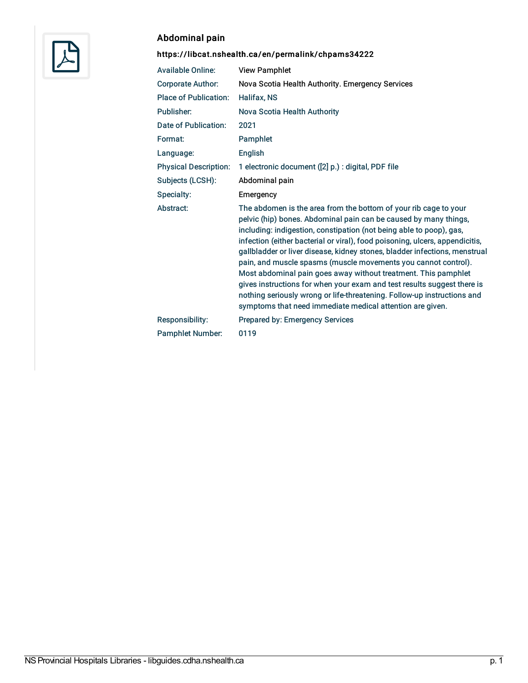

## Abdominal pain

## <https://libcat.nshealth.ca/en/permalink/chpams34222>

| <b>Available Online:</b>     | <b>View Pamphlet</b>                                                                                                                                                                                                                                                                                                                                                                                                                                                                                                                                                                                                                                                                                                             |
|------------------------------|----------------------------------------------------------------------------------------------------------------------------------------------------------------------------------------------------------------------------------------------------------------------------------------------------------------------------------------------------------------------------------------------------------------------------------------------------------------------------------------------------------------------------------------------------------------------------------------------------------------------------------------------------------------------------------------------------------------------------------|
| <b>Corporate Author:</b>     | Nova Scotia Health Authority. Emergency Services                                                                                                                                                                                                                                                                                                                                                                                                                                                                                                                                                                                                                                                                                 |
| <b>Place of Publication:</b> | Halifax, NS                                                                                                                                                                                                                                                                                                                                                                                                                                                                                                                                                                                                                                                                                                                      |
| Publisher:                   | Nova Scotia Health Authority                                                                                                                                                                                                                                                                                                                                                                                                                                                                                                                                                                                                                                                                                                     |
| Date of Publication:         | 2021                                                                                                                                                                                                                                                                                                                                                                                                                                                                                                                                                                                                                                                                                                                             |
| Format:                      | Pamphlet                                                                                                                                                                                                                                                                                                                                                                                                                                                                                                                                                                                                                                                                                                                         |
| Language:                    | English                                                                                                                                                                                                                                                                                                                                                                                                                                                                                                                                                                                                                                                                                                                          |
| <b>Physical Description:</b> | 1 electronic document ([2] p.) : digital, PDF file                                                                                                                                                                                                                                                                                                                                                                                                                                                                                                                                                                                                                                                                               |
| Subjects (LCSH):             | Abdominal pain                                                                                                                                                                                                                                                                                                                                                                                                                                                                                                                                                                                                                                                                                                                   |
| Specialty:                   | Emergency                                                                                                                                                                                                                                                                                                                                                                                                                                                                                                                                                                                                                                                                                                                        |
| Abstract:                    | The abdomen is the area from the bottom of your rib cage to your<br>pelvic (hip) bones. Abdominal pain can be caused by many things,<br>including: indigestion, constipation (not being able to poop), gas,<br>infection (either bacterial or viral), food poisoning, ulcers, appendicitis,<br>gallbladder or liver disease, kidney stones, bladder infections, menstrual<br>pain, and muscle spasms (muscle movements you cannot control).<br>Most abdominal pain goes away without treatment. This pamphlet<br>gives instructions for when your exam and test results suggest there is<br>nothing seriously wrong or life-threatening. Follow-up instructions and<br>symptoms that need immediate medical attention are given. |
| Responsibility:              | Prepared by: Emergency Services                                                                                                                                                                                                                                                                                                                                                                                                                                                                                                                                                                                                                                                                                                  |
| Pamphlet Number:             | 0119                                                                                                                                                                                                                                                                                                                                                                                                                                                                                                                                                                                                                                                                                                                             |